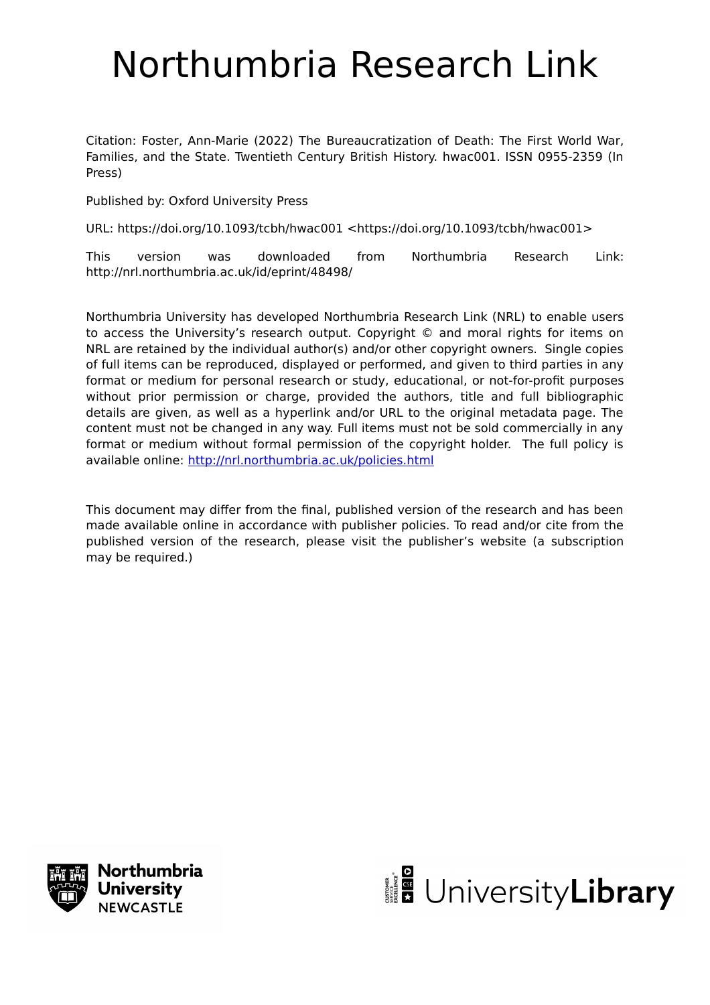# Northumbria Research Link

Citation: Foster, Ann-Marie (2022) The Bureaucratization of Death: The First World War, Families, and the State. Twentieth Century British History. hwac001. ISSN 0955-2359 (In Press)

Published by: Oxford University Press

URL: https://doi.org/10.1093/tcbh/hwac001 <https://doi.org/10.1093/tcbh/hwac001>

This version was downloaded from Northumbria Research Link: http://nrl.northumbria.ac.uk/id/eprint/48498/

Northumbria University has developed Northumbria Research Link (NRL) to enable users to access the University's research output. Copyright © and moral rights for items on NRL are retained by the individual author(s) and/or other copyright owners. Single copies of full items can be reproduced, displayed or performed, and given to third parties in any format or medium for personal research or study, educational, or not-for-profit purposes without prior permission or charge, provided the authors, title and full bibliographic details are given, as well as a hyperlink and/or URL to the original metadata page. The content must not be changed in any way. Full items must not be sold commercially in any format or medium without formal permission of the copyright holder. The full policy is available online:<http://nrl.northumbria.ac.uk/policies.html>

This document may differ from the final, published version of the research and has been made available online in accordance with publisher policies. To read and/or cite from the published version of the research, please visit the publisher's website (a subscription may be required.)



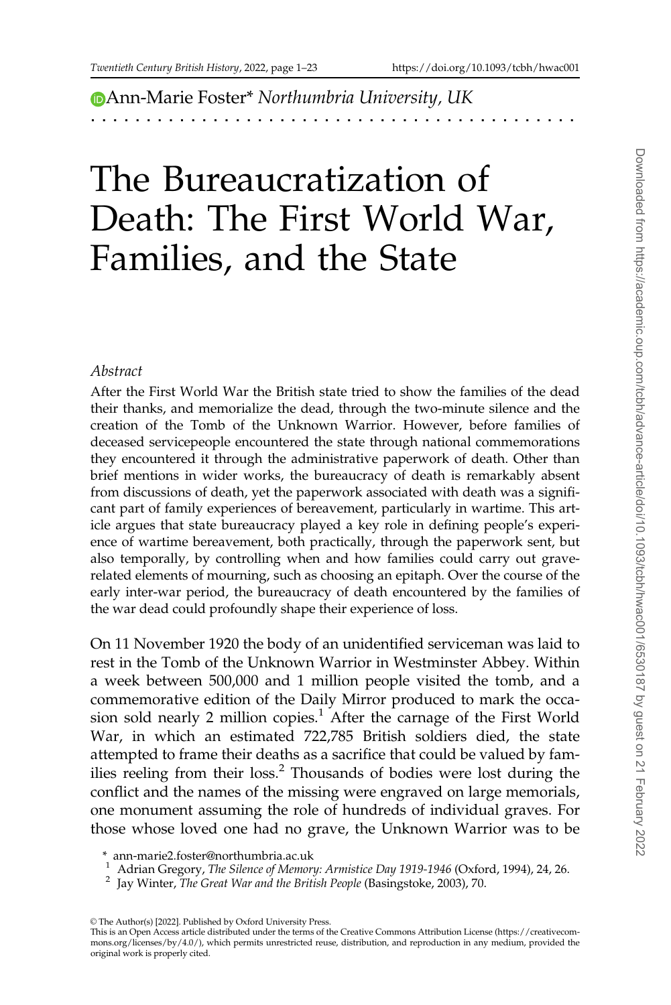**D[A](https://orcid.org/0000-0003-3451-8601)nn-Marie Foster\* Northumbria University, UK** 

# The Bureaucratization of Death: The First World War, Families, and the State

#### Abstract

After the First World War the British state tried to show the families of the dead their thanks, and memorialize the dead, through the two-minute silence and the creation of the Tomb of the Unknown Warrior. However, before families of deceased servicepeople encountered the state through national commemorations they encountered it through the administrative paperwork of death. Other than brief mentions in wider works, the bureaucracy of death is remarkably absent from discussions of death, yet the paperwork associated with death was a significant part of family experiences of bereavement, particularly in wartime. This article argues that state bureaucracy played a key role in defining people's experience of wartime bereavement, both practically, through the paperwork sent, but also temporally, by controlling when and how families could carry out graverelated elements of mourning, such as choosing an epitaph. Over the course of the early inter-war period, the bureaucracy of death encountered by the families of the war dead could profoundly shape their experience of loss.

On 11 November 1920 the body of an unidentified serviceman was laid to rest in the Tomb of the Unknown Warrior in Westminster Abbey. Within a week between 500,000 and 1 million people visited the tomb, and a commemorative edition of the Daily Mirror produced to mark the occasion sold nearly 2 million copies.<sup>1</sup> After the carnage of the First World War, in which an estimated 722,785 British soldiers died, the state attempted to frame their deaths as a sacrifice that could be valued by families reeling from their loss.<sup>2</sup> Thousands of bodies were lost during the conflict and the names of the missing were engraved on large memorials, one monument assuming the role of hundreds of individual graves. For those whose loved one had no grave, the Unknown Warrior was to be

- <sup>1</sup> Adrian Gregory, The Silence of Memory: Armistice Day 1919-1946 (Oxford, 1994), 24, 26. <sup>2</sup> Jay Winter, The Great War and the British People (Basingstoke, 2003), 70.
- 

<sup>\*</sup> ann-marie2.foster@northumbria.ac.uk

 $\circ$  The Author(s) [2022]. Published by Oxford University Press.

This is an Open Access article distributed under the terms of the Creative Commons Attribution License (https://creativecommons.org/licenses/by/4.0/), which permits unrestricted reuse, distribution, and reproduction in any medium, provided the original work is properly cited.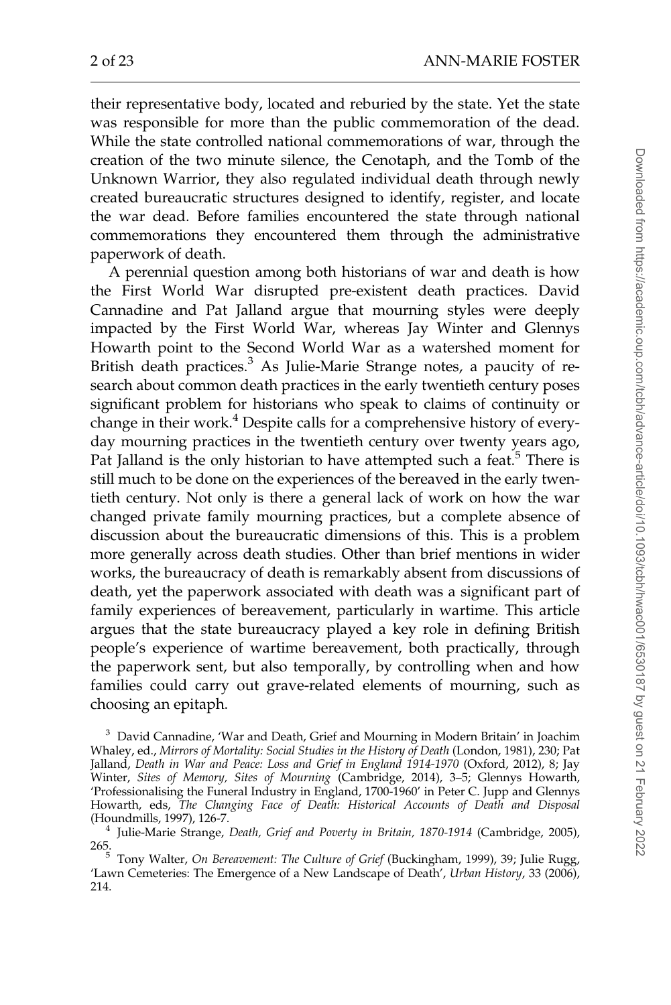their representative body, located and reburied by the state. Yet the state was responsible for more than the public commemoration of the dead. While the state controlled national commemorations of war, through the creation of the two minute silence, the Cenotaph, and the Tomb of the Unknown Warrior, they also regulated individual death through newly created bureaucratic structures designed to identify, register, and locate the war dead. Before families encountered the state through national commemorations they encountered them through the administrative paperwork of death.

A perennial question among both historians of war and death is how the First World War disrupted pre-existent death practices. David Cannadine and Pat Jalland argue that mourning styles were deeply impacted by the First World War, whereas Jay Winter and Glennys Howarth point to the Second World War as a watershed moment for British death practices.<sup>3</sup> As Julie-Marie Strange notes, a paucity of research about common death practices in the early twentieth century poses significant problem for historians who speak to claims of continuity or change in their work.<sup>4</sup> Despite calls for a comprehensive history of everyday mourning practices in the twentieth century over twenty years ago, Pat Jalland is the only historian to have attempted such a feat.<sup>5</sup> There is still much to be done on the experiences of the bereaved in the early twentieth century. Not only is there a general lack of work on how the war changed private family mourning practices, but a complete absence of discussion about the bureaucratic dimensions of this. This is a problem more generally across death studies. Other than brief mentions in wider works, the bureaucracy of death is remarkably absent from discussions of death, yet the paperwork associated with death was a significant part of family experiences of bereavement, particularly in wartime. This article argues that the state bureaucracy played a key role in defining British people's experience of wartime bereavement, both practically, through the paperwork sent, but also temporally, by controlling when and how families could carry out grave-related elements of mourning, such as choosing an epitaph.

<sup>&</sup>lt;sup>3</sup> David Cannadine, 'War and Death, Grief and Mourning in Modern Britain' in Joachim Whaley, ed., Mirrors of Mortality: Social Studies in the History of Death (London, 1981), 230; Pat Jalland, Death in War and Peace: Loss and Grief in England 1914-1970 (Oxford, 2012), 8; Jay Winter, Sites of Memory, Sites of Mourning (Cambridge, 2014), 3–5; Glennys Howarth, 'Professionalising the Funeral Industry in England, 1700-1960' in Peter C. Jupp and Glennys Howarth, eds, The Changing Face of Death: Historical Accounts of Death and Disposal

<sup>(</sup>Houndmills, 1997), 126-7.<br><sup>4</sup> Julie-Marie Strange, *Death, Grief and Poverty in Britain*, 1870-1914 (Cambridge, 2005),<br>265.

 $<sup>5</sup>$  Tony Walter, On Bereavement: The Culture of Grief (Buckingham, 1999), 39; Julie Rugg,</sup> 'Lawn Cemeteries: The Emergence of a New Landscape of Death', Urban History, 33 (2006), 214.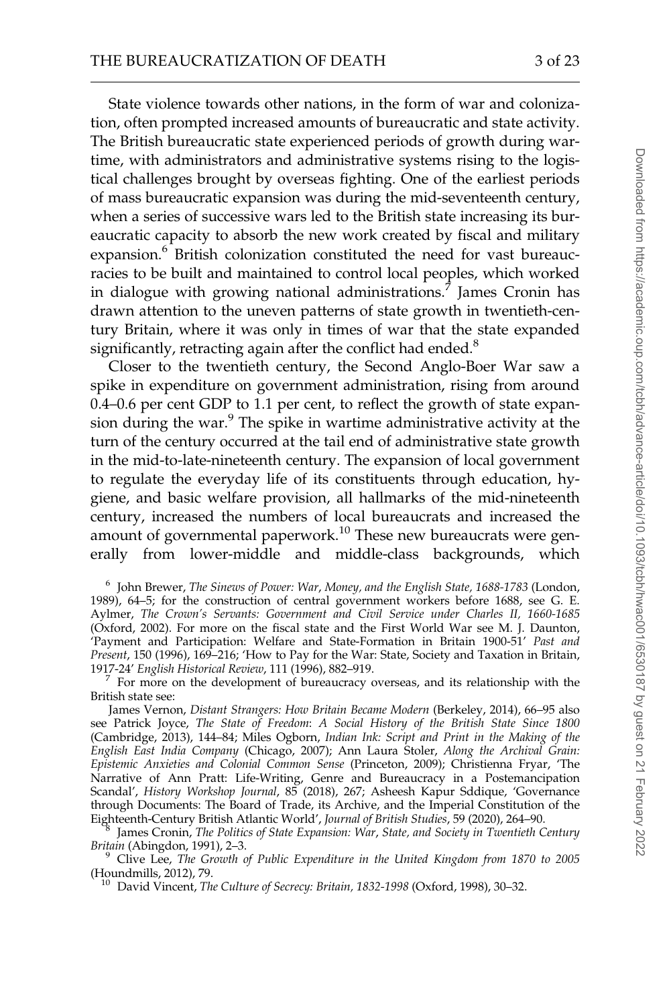State violence towards other nations, in the form of war and colonization, often prompted increased amounts of bureaucratic and state activity. The British bureaucratic state experienced periods of growth during wartime, with administrators and administrative systems rising to the logistical challenges brought by overseas fighting. One of the earliest periods of mass bureaucratic expansion was during the mid-seventeenth century, when a series of successive wars led to the British state increasing its bureaucratic capacity to absorb the new work created by fiscal and military expansion.<sup>6</sup> British colonization constituted the need for vast bureaucracies to be built and maintained to control local peoples, which worked in dialogue with growing national administrations.<sup>7</sup> James Cronin has drawn attention to the uneven patterns of state growth in twentieth-century Britain, where it was only in times of war that the state expanded significantly, retracting again after the conflict had ended. $8$ 

Closer to the twentieth century, the Second Anglo-Boer War saw a spike in expenditure on government administration, rising from around 0.4–0.6 per cent GDP to 1.1 per cent, to reflect the growth of state expansion during the war.<sup>9</sup> The spike in wartime administrative activity at the turn of the century occurred at the tail end of administrative state growth in the mid-to-late-nineteenth century. The expansion of local government to regulate the everyday life of its constituents through education, hygiene, and basic welfare provision, all hallmarks of the mid-nineteenth century, increased the numbers of local bureaucrats and increased the amount of governmental paperwork.<sup>10</sup> These new bureaucrats were generally from lower-middle and middle-class backgrounds, which

<sup>6</sup> John Brewer, The Sinews of Power: War, Money, and the English State, 1688-1783 (London, 1989), 64–5; for the construction of central government workers before 1688, see G. E. Aylmer, The Crown's Servants: Government and Civil Service under Charles II, 1660-1685 (Oxford, 2002). For more on the fiscal state and the First World War see M. J. Daunton, 'Payment and Participation: Welfare and State-Formation in Britain 1900-51' Past and Present, 150 (1996), 169–216; 'How to Pay for the War: State, Society and Taxation in Britain, 1917-24' English Historical Review, 111 (1996), 882–919.

 $7$  For more on the development of bureaucracy overseas, and its relationship with the British state see:

James Vernon, Distant Strangers: How Britain Became Modern (Berkeley, 2014), 66–95 also see Patrick Joyce, The State of Freedom: A Social History of the British State Since 1800 (Cambridge, 2013), 144–84; Miles Ogborn, Indian Ink: Script and Print in the Making of the English East India Company (Chicago, 2007); Ann Laura Stoler, Along the Archival Grain: Epistemic Anxieties and Colonial Common Sense (Princeton, 2009); Christienna Fryar, 'The Narrative of Ann Pratt: Life-Writing, Genre and Bureaucracy in a Postemancipation Scandal', History Workshop Journal, 85 (2018), 267; Asheesh Kapur Sddique, 'Governance through Documents: The Board of Trade, its Archive, and the Imperial Constitution of the Eighteenth-Century British Atlantic World', Journal of British Studies, 59 (2020), 264–90.

James Cronin, The Politics of State Expansion: War, State, and Society in Twentieth Century

Britain (Abingdon, 1991), 2–3.<br><sup>9</sup> Clive Lee, *The Growth of Public Expenditure in the United Kingdom from 1870 to 2005*<br>(Houndmills, 2012), 79.

 $10$  David Vincent, The Culture of Secrecy: Britain, 1832-1998 (Oxford, 1998), 30–32.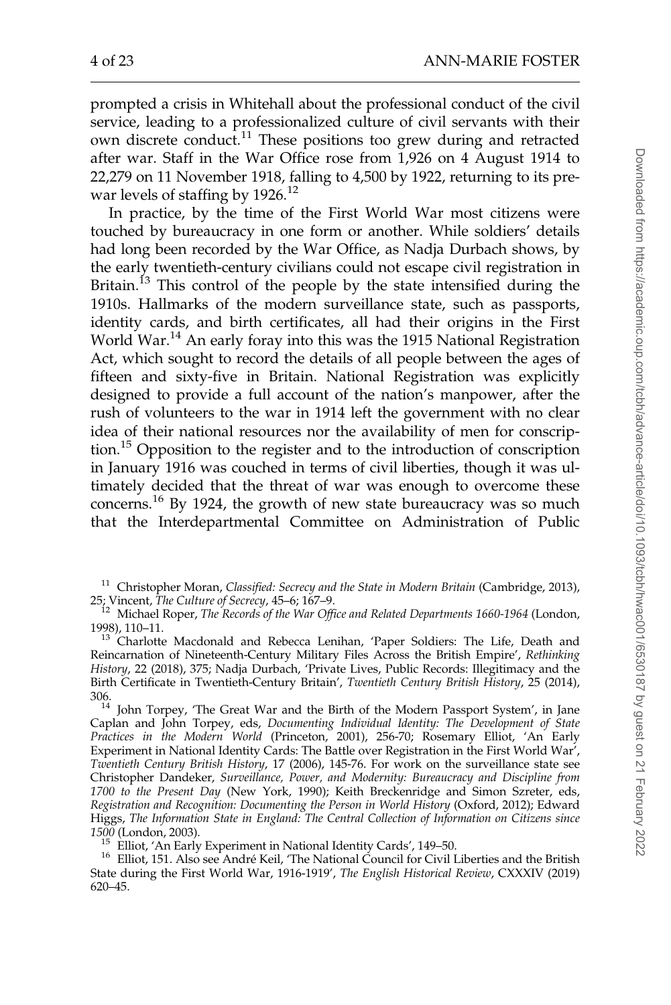prompted a crisis in Whitehall about the professional conduct of the civil service, leading to a professionalized culture of civil servants with their own discrete conduct.<sup>11</sup> These positions too grew during and retracted after war. Staff in the War Office rose from 1,926 on 4 August 1914 to 22,279 on 11 November 1918, falling to 4,500 by 1922, returning to its prewar levels of staffing by 1926.<sup>12</sup>

In practice, by the time of the First World War most citizens were touched by bureaucracy in one form or another. While soldiers' details had long been recorded by the War Office, as Nadja Durbach shows, by the early twentieth-century civilians could not escape civil registration in Britain.<sup>13</sup> This control of the people by the state intensified during the 1910s. Hallmarks of the modern surveillance state, such as passports, identity cards, and birth certificates, all had their origins in the First World War.<sup>14</sup> An early foray into this was the 1915 National Registration Act, which sought to record the details of all people between the ages of fifteen and sixty-five in Britain. National Registration was explicitly designed to provide a full account of the nation's manpower, after the rush of volunteers to the war in 1914 left the government with no clear idea of their national resources nor the availability of men for conscription.<sup>15</sup> Opposition to the register and to the introduction of conscription in January 1916 was couched in terms of civil liberties, though it was ultimately decided that the threat of war was enough to overcome these concerns.<sup>16</sup> By 1924, the growth of new state bureaucracy was so much that the Interdepartmental Committee on Administration of Public

306.<br><sup>14</sup> John Torpey, 'The Great War and the Birth of the Modern Passport System', in Jane Caplan and John Torpey, eds, Documenting Individual Identity: The Development of State Practices in the Modern World (Princeton, 2001), 256-70; Rosemary Elliot, 'An Early Experiment in National Identity Cards: The Battle over Registration in the First World War', Twentieth Century British History, 17 (2006), 145-76. For work on the surveillance state see Christopher Dandeker, Surveillance, Power, and Modernity: Bureaucracy and Discipline from 1700 to the Present Day (New York, 1990); Keith Breckenridge and Simon Szreter, eds, Registration and Recognition: Documenting the Person in World History (Oxford, 2012); Edward Higgs, The Information State in England: The Central Collection of Information on Citizens since

1500 (London, 2003).<br><sup>15</sup> Elliot, 'An Early Experiment in National Identity Cards', 149–50.<br><sup>16</sup> Elliot, 151. Also see André Keil, 'The National Council for Civil Liberties and the British State during the First World War, 1916-1919', The English Historical Review, CXXXIV (2019) 620–45.

<sup>&</sup>lt;sup>11</sup> Christopher Moran, Classified: Secrecy and the State in Modern Britain (Cambridge, 2013), 25; Vincent, The Culture of Secrecy, 45–6; 167–9.<br><sup>12</sup> Michael Roper, The Records of the War Office and Related Departments 1660-1964 (London,

<sup>1998), 110–11.&</sup>lt;br><sup>13</sup> Charlotte Macdonald and Rebecca Lenihan, 'Paper Soldiers: The Life, Death and

Reincarnation of Nineteenth-Century Military Files Across the British Empire', Rethinking History, 22 (2018), 375; Nadja Durbach, 'Private Lives, Public Records: Illegitimacy and the Birth Certificate in Twentieth-Century Britain', Twentieth Century British History, 25 (2014),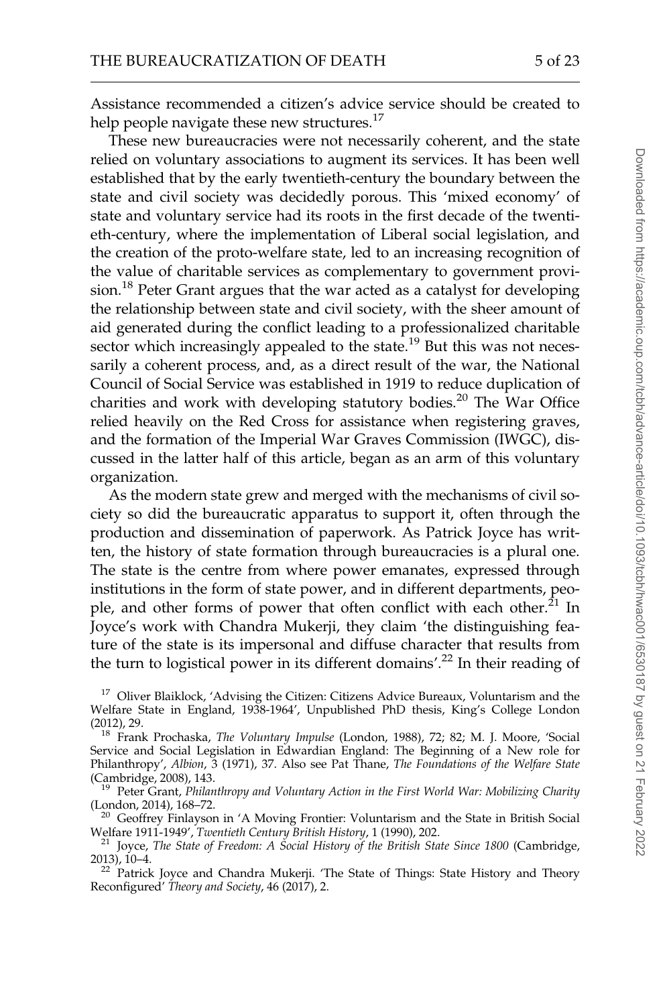Assistance recommended a citizen's advice service should be created to help people navigate these new structures. $^{17}$ 

These new bureaucracies were not necessarily coherent, and the state relied on voluntary associations to augment its services. It has been well established that by the early twentieth-century the boundary between the state and civil society was decidedly porous. This 'mixed economy' of state and voluntary service had its roots in the first decade of the twentieth-century, where the implementation of Liberal social legislation, and the creation of the proto-welfare state, led to an increasing recognition of the value of charitable services as complementary to government provision.<sup>18</sup> Peter Grant argues that the war acted as a catalyst for developing the relationship between state and civil society, with the sheer amount of aid generated during the conflict leading to a professionalized charitable sector which increasingly appealed to the state.<sup>19</sup> But this was not necessarily a coherent process, and, as a direct result of the war, the National Council of Social Service was established in 1919 to reduce duplication of charities and work with developing statutory bodies.<sup>20</sup> The War Office relied heavily on the Red Cross for assistance when registering graves, and the formation of the Imperial War Graves Commission (IWGC), discussed in the latter half of this article, began as an arm of this voluntary organization.

As the modern state grew and merged with the mechanisms of civil society so did the bureaucratic apparatus to support it, often through the production and dissemination of paperwork. As Patrick Joyce has written, the history of state formation through bureaucracies is a plural one. The state is the centre from where power emanates, expressed through institutions in the form of state power, and in different departments, people, and other forms of power that often conflict with each other. $^{21}$  In Joyce's work with Chandra Mukerji, they claim 'the distinguishing feature of the state is its impersonal and diffuse character that results from the turn to logistical power in its different domains'.<sup>22</sup> In their reading of

<sup>&</sup>lt;sup>17</sup> Oliver Blaiklock, 'Advising the Citizen: Citizens Advice Bureaux, Voluntarism and the Welfare State in England, 1938-1964', Unpublished PhD thesis, King's College London (2012), 29. 18 Frank Prochaska, The Voluntary Impulse (London, 1988), 72; 82; M. J. Moore, 'Social

Service and Social Legislation in Edwardian England: The Beginning of a New role for Philanthropy', Albion, 3 (1971), 37. Also see Pat Thane, The Foundations of the Welfare State (Cambridge, 2008), 143.

<sup>&</sup>lt;sup>19</sup> Peter Grant, *Philanthropy and Voluntary Action in the First World War: Mobilizing Charity* (London, 2014), 168–72.

<sup>&</sup>lt;sup>20</sup> Geoffrey Finlayson in 'A Moving Frontier: Voluntarism and the State in British Social Welfare 1911-1949', Twentieth Century British History, 1 (1990), 202.

<sup>&</sup>lt;sup>21</sup> Joyce, The State of Freedom: A Social History of the British State Since 1800 (Cambridge, 2013), 10-4.

 $22$  Patrick Joyce and Chandra Mukerji. 'The State of Things: State History and Theory Reconfigured' Theory and Society, 46 (2017), 2.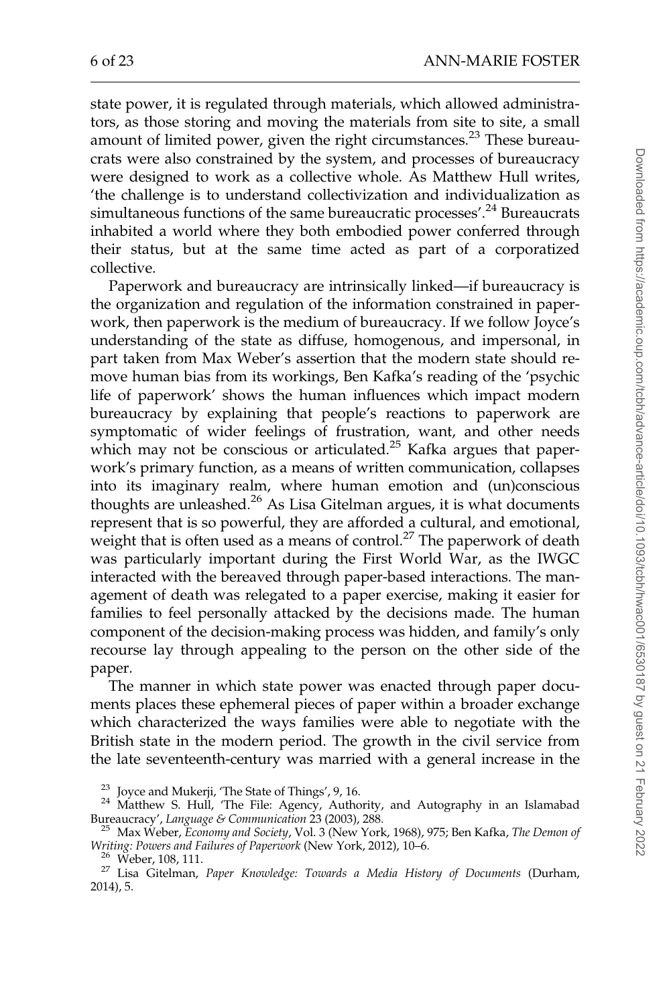state power, it is regulated through materials, which allowed administrators, as those storing and moving the materials from site to site, a small amount of limited power, given the right circumstances.<sup>23</sup> These bureaucrats were also constrained by the system, and processes of bureaucracy were designed to work as a collective whole. As Matthew Hull writes, 'the challenge is to understand collectivization and individualization as simultaneous functions of the same bureaucratic processes'.<sup>24</sup> Bureaucrats inhabited a world where they both embodied power conferred through their status, but at the same time acted as part of a corporatized collective.

Paperwork and bureaucracy are intrinsically linked—if bureaucracy is the organization and regulation of the information constrained in paperwork, then paperwork is the medium of bureaucracy. If we follow Joyce's understanding of the state as diffuse, homogenous, and impersonal, in part taken from Max Weber's assertion that the modern state should remove human bias from its workings, Ben Kafka's reading of the 'psychic life of paperwork' shows the human influences which impact modern bureaucracy by explaining that people's reactions to paperwork are symptomatic of wider feelings of frustration, want, and other needs which may not be conscious or articulated.<sup>25</sup> Kafka argues that paperwork's primary function, as a means of written communication, collapses into its imaginary realm, where human emotion and (un)conscious thoughts are unleashed.<sup>26</sup> As Lisa Gitelman argues, it is what documents represent that is so powerful, they are afforded a cultural, and emotional, weight that is often used as a means of control.<sup>27</sup> The paperwork of death was particularly important during the First World War, as the IWGC interacted with the bereaved through paper-based interactions. The management of death was relegated to a paper exercise, making it easier for families to feel personally attacked by the decisions made. The human component of the decision-making process was hidden, and family's only recourse lay through appealing to the person on the other side of the paper.

The manner in which state power was enacted through paper documents places these ephemeral pieces of paper within a broader exchange which characterized the ways families were able to negotiate with the British state in the modern period. The growth in the civil service from the late seventeenth-century was married with a general increase in the

<sup>&</sup>lt;sup>23</sup> Joyce and Mukerji, 'The State of Things', 9, 16.<br><sup>24</sup> Matthew S. Hull, 'The File: Agency, Authority, and Autography in an Islamabad<br>Bureaucracy', *Language & Communication* 23 (2003), 288.

<sup>&</sup>lt;sup>25</sup> Max Weber, Economy and Society, Vol. 3 (New York, 1968), 975; Ben Kafka, The Demon of Writing: Powers and Failures of Paperwork (New York, 2012), 10–6.<br><sup>26</sup> Weber, 108, 111.<br><sup>27</sup> Lisa Gitelman, *Paper Knowledge: Towards a Media History of Documents* (Durham,

<sup>2014), 5.</sup>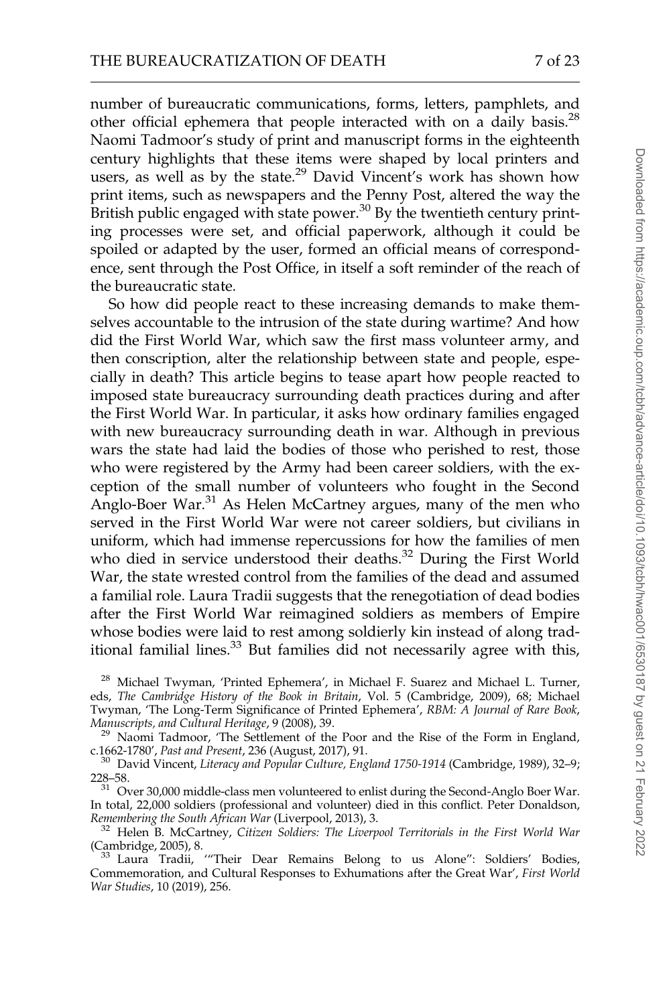number of bureaucratic communications, forms, letters, pamphlets, and other official ephemera that people interacted with on a daily basis.<sup>28</sup> Naomi Tadmoor's study of print and manuscript forms in the eighteenth century highlights that these items were shaped by local printers and users, as well as by the state.<sup>29</sup> David Vincent's work has shown how print items, such as newspapers and the Penny Post, altered the way the British public engaged with state power.<sup>30</sup> By the twentieth century printing processes were set, and official paperwork, although it could be spoiled or adapted by the user, formed an official means of correspondence, sent through the Post Office, in itself a soft reminder of the reach of the bureaucratic state.

So how did people react to these increasing demands to make themselves accountable to the intrusion of the state during wartime? And how did the First World War, which saw the first mass volunteer army, and then conscription, alter the relationship between state and people, especially in death? This article begins to tease apart how people reacted to imposed state bureaucracy surrounding death practices during and after the First World War. In particular, it asks how ordinary families engaged with new bureaucracy surrounding death in war. Although in previous wars the state had laid the bodies of those who perished to rest, those who were registered by the Army had been career soldiers, with the exception of the small number of volunteers who fought in the Second Anglo-Boer War.<sup>31</sup> As Helen McCartney argues, many of the men who served in the First World War were not career soldiers, but civilians in uniform, which had immense repercussions for how the families of men who died in service understood their deaths.<sup>32</sup> During the First World War, the state wrested control from the families of the dead and assumed a familial role. Laura Tradii suggests that the renegotiation of dead bodies after the First World War reimagined soldiers as members of Empire whose bodies were laid to rest among soldierly kin instead of along traditional familial lines.<sup>33</sup> But families did not necessarily agree with this,

<sup>28</sup> Michael Twyman, 'Printed Ephemera', in Michael F. Suarez and Michael L. Turner, eds, The Cambridge History of the Book in Britain, Vol. 5 (Cambridge, 2009), 68; Michael Twyman, 'The Long-Term Significance of Printed Ephemera', RBM: A Journal of Rare Book,

Manuscripts, and Cultural Heritage, 9 (2008), 39. Naomi Tadmoor, 'The Settlement of the Poor and the Rise of the Form in England,

c.1662-1780', Past and Present, 236 (August, 2017), 91.<br><sup>30</sup> David Vincent, *Literacy and Popular Culture, England 1750-1914* (Cambridge, 1989), 32–9;<br>228–58.

 $31$  Over 30,000 middle-class men volunteered to enlist during the Second-Anglo Boer War. In total, 22,000 soldiers (professional and volunteer) died in this conflict. Peter Donaldson, Remembering the South African War (Liverpool, 2013), 3.

 $R^2$  Helen B. McCartney, Citizen Soldiers: The Liverpool Territorials in the First World War (Cambridge, 2005), 8.

33 Laura Tradii, "Their Dear Remains Belong to us Alone": Soldiers' Bodies, Commemoration, and Cultural Responses to Exhumations after the Great War', First World War Studies, 10 (2019), 256.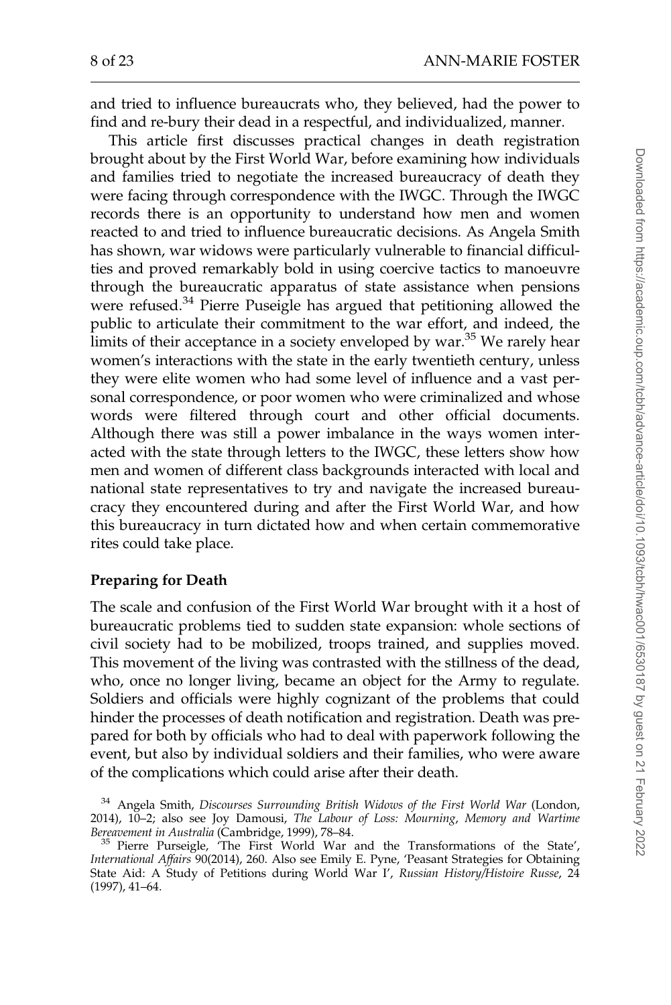and tried to influence bureaucrats who, they believed, had the power to find and re-bury their dead in a respectful, and individualized, manner.

This article first discusses practical changes in death registration brought about by the First World War, before examining how individuals and families tried to negotiate the increased bureaucracy of death they were facing through correspondence with the IWGC. Through the IWGC records there is an opportunity to understand how men and women reacted to and tried to influence bureaucratic decisions. As Angela Smith has shown, war widows were particularly vulnerable to financial difficulties and proved remarkably bold in using coercive tactics to manoeuvre through the bureaucratic apparatus of state assistance when pensions were refused.<sup>34</sup> Pierre Puseigle has argued that petitioning allowed the public to articulate their commitment to the war effort, and indeed, the limits of their acceptance in a society enveloped by war.<sup>35</sup> We rarely hear women's interactions with the state in the early twentieth century, unless they were elite women who had some level of influence and a vast personal correspondence, or poor women who were criminalized and whose words were filtered through court and other official documents. Although there was still a power imbalance in the ways women interacted with the state through letters to the IWGC, these letters show how men and women of different class backgrounds interacted with local and national state representatives to try and navigate the increased bureaucracy they encountered during and after the First World War, and how this bureaucracy in turn dictated how and when certain commemorative rites could take place.

#### Preparing for Death

The scale and confusion of the First World War brought with it a host of bureaucratic problems tied to sudden state expansion: whole sections of civil society had to be mobilized, troops trained, and supplies moved. This movement of the living was contrasted with the stillness of the dead, who, once no longer living, became an object for the Army to regulate. Soldiers and officials were highly cognizant of the problems that could hinder the processes of death notification and registration. Death was prepared for both by officials who had to deal with paperwork following the event, but also by individual soldiers and their families, who were aware of the complications which could arise after their death.

<sup>&</sup>lt;sup>34</sup> Angela Smith, Discourses Surrounding British Widows of the First World War (London, 2014), 10–2; also see Joy Damousi, The Labour of Loss: Mourning, Memory and Wartime

<sup>&</sup>lt;sup>35</sup> Pierre Purseigle, 'The First World War and the Transformations of the State', International Affairs 90(2014), 260. Also see Emily E. Pyne, 'Peasant Strategies for Obtaining State Aid: A Study of Petitions during World War I', Russian History/Histoire Russe, 24 (1997), 41–64.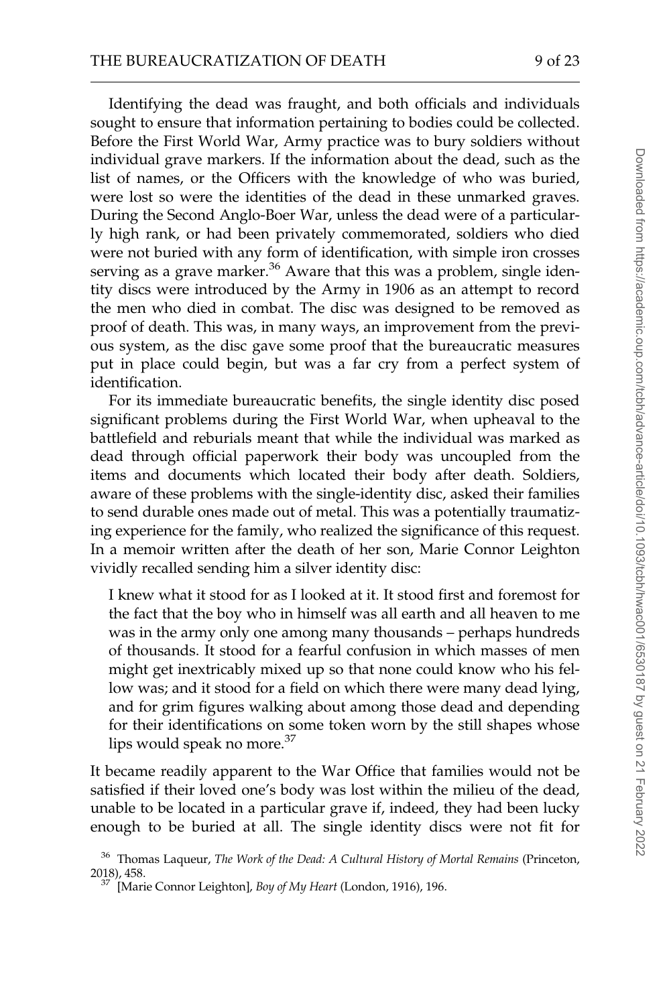Identifying the dead was fraught, and both officials and individuals sought to ensure that information pertaining to bodies could be collected. Before the First World War, Army practice was to bury soldiers without individual grave markers. If the information about the dead, such as the list of names, or the Officers with the knowledge of who was buried, were lost so were the identities of the dead in these unmarked graves. During the Second Anglo-Boer War, unless the dead were of a particularly high rank, or had been privately commemorated, soldiers who died were not buried with any form of identification, with simple iron crosses serving as a grave marker.<sup>36</sup> Aware that this was a problem, single identity discs were introduced by the Army in 1906 as an attempt to record the men who died in combat. The disc was designed to be removed as proof of death. This was, in many ways, an improvement from the previous system, as the disc gave some proof that the bureaucratic measures put in place could begin, but was a far cry from a perfect system of identification.

For its immediate bureaucratic benefits, the single identity disc posed significant problems during the First World War, when upheaval to the battlefield and reburials meant that while the individual was marked as dead through official paperwork their body was uncoupled from the items and documents which located their body after death. Soldiers, aware of these problems with the single-identity disc, asked their families to send durable ones made out of metal. This was a potentially traumatizing experience for the family, who realized the significance of this request. In a memoir written after the death of her son, Marie Connor Leighton vividly recalled sending him a silver identity disc:

I knew what it stood for as I looked at it. It stood first and foremost for the fact that the boy who in himself was all earth and all heaven to me was in the army only one among many thousands – perhaps hundreds of thousands. It stood for a fearful confusion in which masses of men might get inextricably mixed up so that none could know who his fellow was; and it stood for a field on which there were many dead lying, and for grim figures walking about among those dead and depending for their identifications on some token worn by the still shapes whose lips would speak no more.<sup>37</sup>

It became readily apparent to the War Office that families would not be satisfied if their loved one's body was lost within the milieu of the dead, unable to be located in a particular grave if, indeed, they had been lucky enough to be buried at all. The single identity discs were not fit for

 $^{36}$  Thomas Laqueur, The Work of the Dead: A Cultural History of Mortal Remains (Princeton, 2018). 458.

 $^{37}$  [Marie Connor Leighton], Boy of My Heart (London, 1916), 196.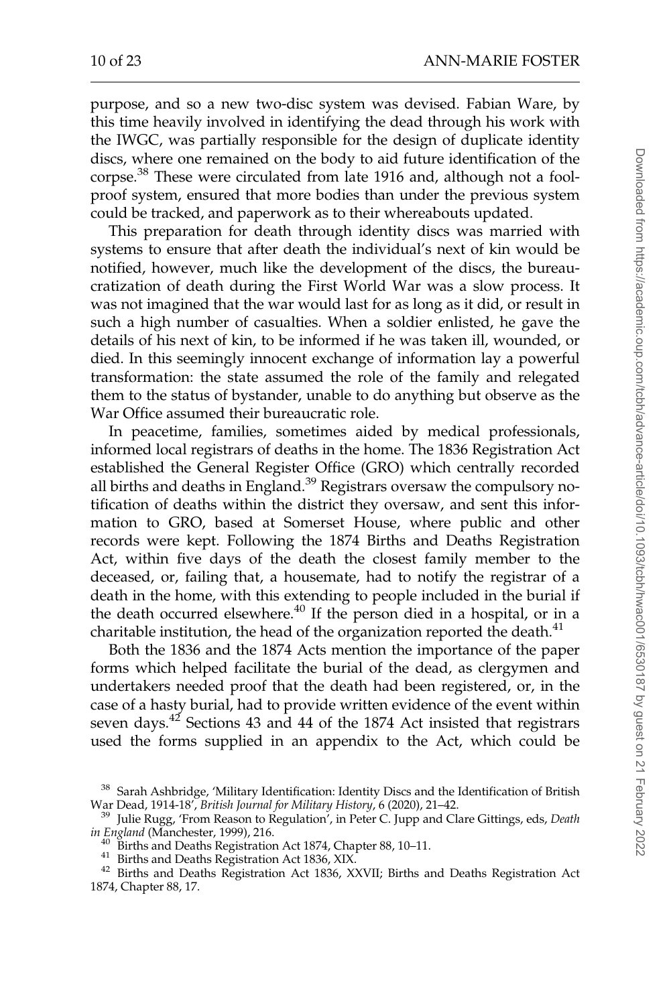purpose, and so a new two-disc system was devised. Fabian Ware, by this time heavily involved in identifying the dead through his work with the IWGC, was partially responsible for the design of duplicate identity discs, where one remained on the body to aid future identification of the corpse.<sup>38</sup> These were circulated from late 1916 and, although not a foolproof system, ensured that more bodies than under the previous system could be tracked, and paperwork as to their whereabouts updated.

This preparation for death through identity discs was married with systems to ensure that after death the individual's next of kin would be notified, however, much like the development of the discs, the bureaucratization of death during the First World War was a slow process. It was not imagined that the war would last for as long as it did, or result in such a high number of casualties. When a soldier enlisted, he gave the details of his next of kin, to be informed if he was taken ill, wounded, or died. In this seemingly innocent exchange of information lay a powerful transformation: the state assumed the role of the family and relegated them to the status of bystander, unable to do anything but observe as the War Office assumed their bureaucratic role.

In peacetime, families, sometimes aided by medical professionals, informed local registrars of deaths in the home. The 1836 Registration Act established the General Register Office (GRO) which centrally recorded all births and deaths in England.<sup>39</sup> Registrars oversaw the compulsory notification of deaths within the district they oversaw, and sent this information to GRO, based at Somerset House, where public and other records were kept. Following the 1874 Births and Deaths Registration Act, within five days of the death the closest family member to the deceased, or, failing that, a housemate, had to notify the registrar of a death in the home, with this extending to people included in the burial if the death occurred elsewhere.<sup>40</sup> If the person died in a hospital, or in a charitable institution, the head of the organization reported the death. $41$ 

Both the 1836 and the 1874 Acts mention the importance of the paper forms which helped facilitate the burial of the dead, as clergymen and undertakers needed proof that the death had been registered, or, in the case of a hasty burial, had to provide written evidence of the event within seven days.<sup>42</sup> Sections 43 and 44 of the 1874 Act insisted that registrars used the forms supplied in an appendix to the Act, which could be

- 
- 

<sup>&</sup>lt;sup>38</sup> Sarah Ashbridge, 'Military Identification: Identity Discs and the Identification of British War Dead, 1914-18', British Journal for Military History, 6 (2020), 21–42.

<sup>&</sup>lt;sup>39</sup> Julie Rugg, 'From Reason to Regulation<sup>7</sup>, in Peter C. Jupp and Clare Gittings, eds, *Death* in England (Manchester, 1999), 216.

<sup>&</sup>lt;sup>40</sup> Births and Deaths Registration Act 1874, Chapter 88, 10–11.<br><sup>41</sup> Births and Deaths Registration Act 1836, XIX.<br><sup>42</sup> Births and Deaths Registration Act 1836, XXVII; Births and Deaths Registration Act 1874, Chapter 88, 17.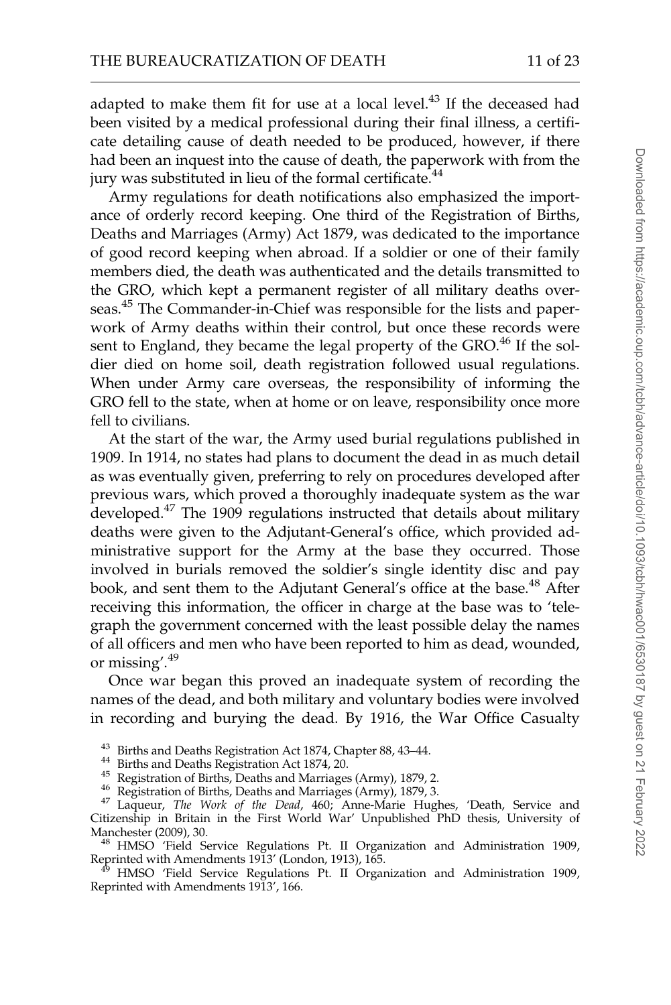adapted to make them fit for use at a local level.<sup>43</sup> If the deceased had been visited by a medical professional during their final illness, a certificate detailing cause of death needed to be produced, however, if there had been an inquest into the cause of death, the paperwork with from the jury was substituted in lieu of the formal certificate.<sup>44</sup>

Army regulations for death notifications also emphasized the importance of orderly record keeping. One third of the Registration of Births, Deaths and Marriages (Army) Act 1879, was dedicated to the importance of good record keeping when abroad. If a soldier or one of their family members died, the death was authenticated and the details transmitted to the GRO, which kept a permanent register of all military deaths overseas.<sup>45</sup> The Commander-in-Chief was responsible for the lists and paperwork of Army deaths within their control, but once these records were sent to England, they became the legal property of the GRO.<sup>46</sup> If the soldier died on home soil, death registration followed usual regulations. When under Army care overseas, the responsibility of informing the GRO fell to the state, when at home or on leave, responsibility once more fell to civilians.

At the start of the war, the Army used burial regulations published in 1909. In 1914, no states had plans to document the dead in as much detail as was eventually given, preferring to rely on procedures developed after previous wars, which proved a thoroughly inadequate system as the war developed.<sup>47</sup> The 1909 regulations instructed that details about military deaths were given to the Adjutant-General's office, which provided administrative support for the Army at the base they occurred. Those involved in burials removed the soldier's single identity disc and pay book, and sent them to the Adjutant General's office at the base.<sup>48</sup> After receiving this information, the officer in charge at the base was to 'telegraph the government concerned with the least possible delay the names of all officers and men who have been reported to him as dead, wounded, or missing'.<sup>49</sup>

Once war began this proved an inadequate system of recording the names of the dead, and both military and voluntary bodies were involved in recording and burying the dead. By 1916, the War Office Casualty

- 
- 

<sup>48</sup> HMSO 'Field Service Regulations Pt. II Organization and Administration 1909, Reprinted with Amendments 1913' (London, 1913), 165.

<sup>3</sup> HMSO 'Field Service Regulations Pt. II Organization and Administration 1909, Reprinted with Amendments 1913', 166.

<sup>&</sup>lt;sup>43</sup> Births and Deaths Registration Act 1874, Chapter 88, 43–44.<br><sup>44</sup> Births and Deaths Registration Act 1874, 20.<br><sup>45</sup> Registration of Births, Deaths and Marriages (Army), 1879, 2.<br><sup>46</sup> Registration of Births, Deaths and Citizenship in Britain in the First World War' Unpublished PhD thesis, University of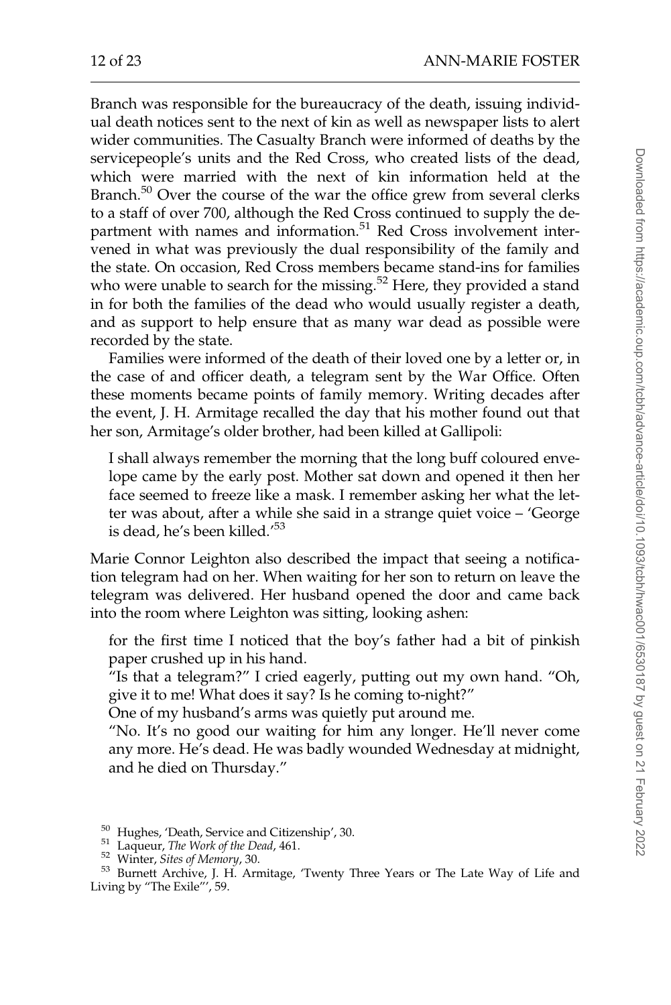Branch was responsible for the bureaucracy of the death, issuing individual death notices sent to the next of kin as well as newspaper lists to alert wider communities. The Casualty Branch were informed of deaths by the servicepeople's units and the Red Cross, who created lists of the dead, which were married with the next of kin information held at the Branch.<sup>50</sup> Over the course of the war the office grew from several clerks to a staff of over 700, although the Red Cross continued to supply the department with names and information.<sup>51</sup> Red Cross involvement intervened in what was previously the dual responsibility of the family and the state. On occasion, Red Cross members became stand-ins for families who were unable to search for the missing.<sup>52</sup> Here, they provided a stand in for both the families of the dead who would usually register a death, and as support to help ensure that as many war dead as possible were recorded by the state.

Families were informed of the death of their loved one by a letter or, in the case of and officer death, a telegram sent by the War Office. Often these moments became points of family memory. Writing decades after the event, J. H. Armitage recalled the day that his mother found out that her son, Armitage's older brother, had been killed at Gallipoli:

I shall always remember the morning that the long buff coloured envelope came by the early post. Mother sat down and opened it then her face seemed to freeze like a mask. I remember asking her what the letter was about, after a while she said in a strange quiet voice – 'George is dead, he's been killed.<sup>'53</sup>

Marie Connor Leighton also described the impact that seeing a notification telegram had on her. When waiting for her son to return on leave the telegram was delivered. Her husband opened the door and came back into the room where Leighton was sitting, looking ashen:

for the first time I noticed that the boy's father had a bit of pinkish paper crushed up in his hand.

"Is that a telegram?" I cried eagerly, putting out my own hand. "Oh, give it to me! What does it say? Is he coming to-night?"

One of my husband's arms was quietly put around me.

"No. It's no good our waiting for him any longer. He'll never come any more. He's dead. He was badly wounded Wednesday at midnight, and he died on Thursday."

<sup>&</sup>lt;sup>50</sup> Hughes, 'Death, Service and Citizenship', 30.<br><sup>51</sup> Laqueur, *The Work of the Dead*, 461.<br><sup>52</sup> Winter, Sites of Memory, 30.<br><sup>53</sup> Burnett Archive, J. H. Armitage, 'Twenty Three Years or The Late Way of Life and Living by "The Exile"', 59.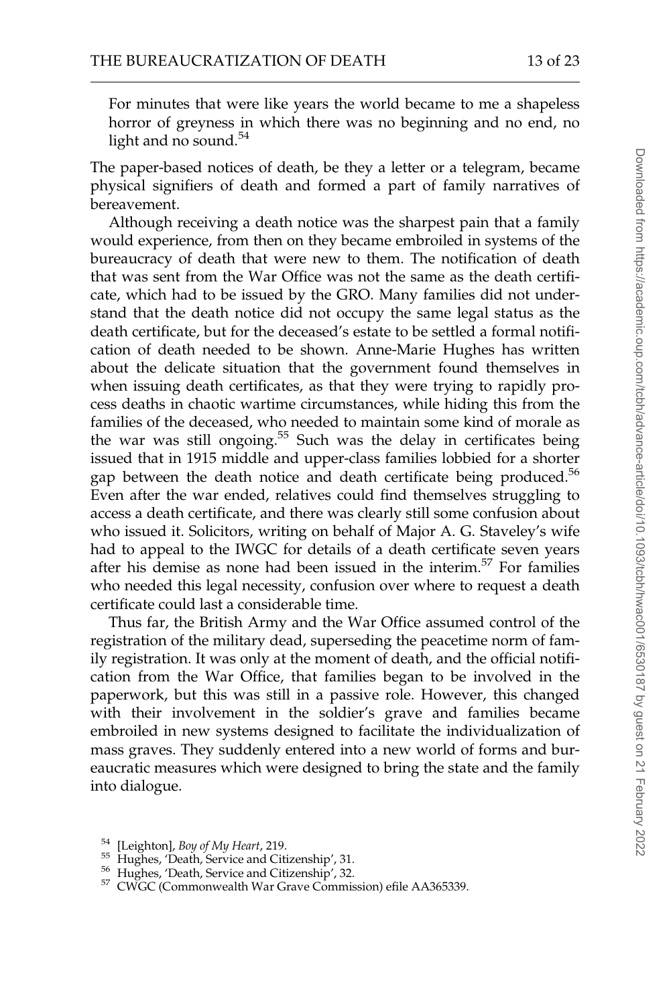For minutes that were like years the world became to me a shapeless horror of greyness in which there was no beginning and no end, no light and no sound.<sup>54</sup>

The paper-based notices of death, be they a letter or a telegram, became physical signifiers of death and formed a part of family narratives of bereavement.

Although receiving a death notice was the sharpest pain that a family would experience, from then on they became embroiled in systems of the bureaucracy of death that were new to them. The notification of death that was sent from the War Office was not the same as the death certificate, which had to be issued by the GRO. Many families did not understand that the death notice did not occupy the same legal status as the death certificate, but for the deceased's estate to be settled a formal notification of death needed to be shown. Anne-Marie Hughes has written about the delicate situation that the government found themselves in when issuing death certificates, as that they were trying to rapidly process deaths in chaotic wartime circumstances, while hiding this from the families of the deceased, who needed to maintain some kind of morale as the war was still ongoing.<sup>55</sup> Such was the delay in certificates being issued that in 1915 middle and upper-class families lobbied for a shorter gap between the death notice and death certificate being produced.<sup>56</sup> Even after the war ended, relatives could find themselves struggling to access a death certificate, and there was clearly still some confusion about who issued it. Solicitors, writing on behalf of Major A. G. Staveley's wife had to appeal to the IWGC for details of a death certificate seven years after his demise as none had been issued in the interim.<sup>57</sup> For families who needed this legal necessity, confusion over where to request a death certificate could last a considerable time.

Thus far, the British Army and the War Office assumed control of the registration of the military dead, superseding the peacetime norm of family registration. It was only at the moment of death, and the official notification from the War Office, that families began to be involved in the paperwork, but this was still in a passive role. However, this changed with their involvement in the soldier's grave and families became embroiled in new systems designed to facilitate the individualization of mass graves. They suddenly entered into a new world of forms and bureaucratic measures which were designed to bring the state and the family into dialogue.

<sup>&</sup>lt;sup>54</sup> [Leighton], *Boy of My Heart*, 219.<br><sup>55</sup> Hughes, 'Death, Service and Citizenship', 31.<br><sup>56</sup> Hughes, 'Death, Service and Citizenship', 32.<br><sup>57</sup> CWGC (Commonwealth War Grave Commission) efile AA365339.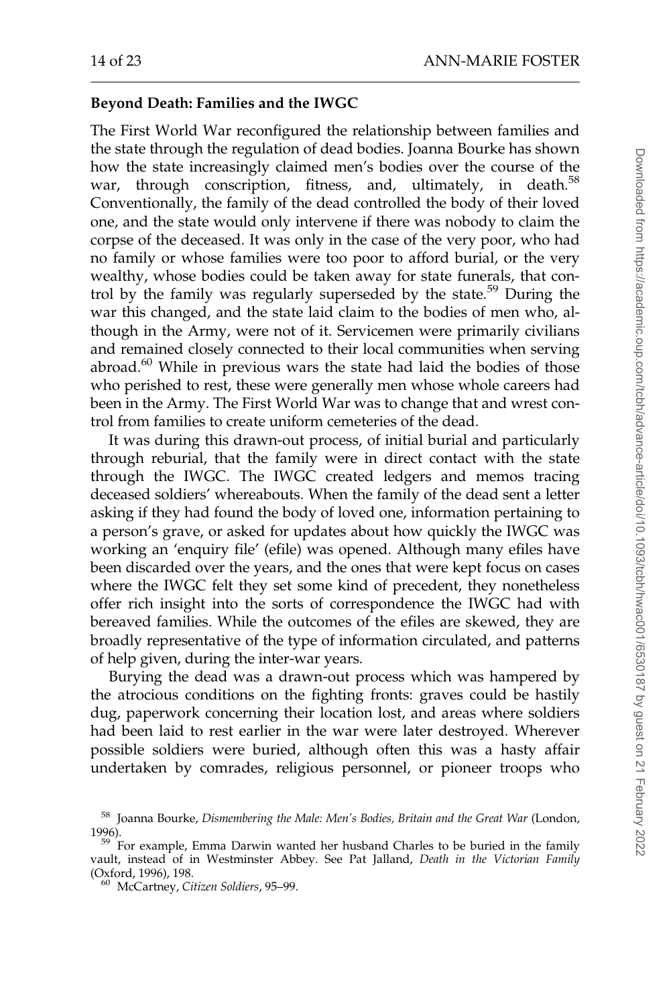## Beyond Death: Families and the IWGC

The First World War reconfigured the relationship between families and the state through the regulation of dead bodies. Joanna Bourke has shown how the state increasingly claimed men's bodies over the course of the war, through conscription, fitness, and, ultimately, in death.<sup>58</sup> Conventionally, the family of the dead controlled the body of their loved one, and the state would only intervene if there was nobody to claim the corpse of the deceased. It was only in the case of the very poor, who had no family or whose families were too poor to afford burial, or the very wealthy, whose bodies could be taken away for state funerals, that control by the family was regularly superseded by the state.<sup>59</sup> During the war this changed, and the state laid claim to the bodies of men who, although in the Army, were not of it. Servicemen were primarily civilians and remained closely connected to their local communities when serving abroad. $60$  While in previous wars the state had laid the bodies of those who perished to rest, these were generally men whose whole careers had been in the Army. The First World War was to change that and wrest control from families to create uniform cemeteries of the dead.

It was during this drawn-out process, of initial burial and particularly through reburial, that the family were in direct contact with the state through the IWGC. The IWGC created ledgers and memos tracing deceased soldiers' whereabouts. When the family of the dead sent a letter asking if they had found the body of loved one, information pertaining to a person's grave, or asked for updates about how quickly the IWGC was working an 'enquiry file' (efile) was opened. Although many efiles have been discarded over the years, and the ones that were kept focus on cases where the IWGC felt they set some kind of precedent, they nonetheless offer rich insight into the sorts of correspondence the IWGC had with bereaved families. While the outcomes of the efiles are skewed, they are broadly representative of the type of information circulated, and patterns of help given, during the inter-war years.

Burying the dead was a drawn-out process which was hampered by the atrocious conditions on the fighting fronts: graves could be hastily dug, paperwork concerning their location lost, and areas where soldiers had been laid to rest earlier in the war were later destroyed. Wherever possible soldiers were buried, although often this was a hasty affair undertaken by comrades, religious personnel, or pioneer troops who

<sup>&</sup>lt;sup>58</sup> Joanna Bourke, Dismembering the Male: Men's Bodies, Britain and the Great War (London, 1996).<br><sup>59</sup> For example, Emma Darwin wanted her husband Charles to be buried in the family

vault, instead of in Westminster Abbey. See Pat Jalland, Death in the Victorian Family (Oxford, 1996), 198.

 $60$  McCartney, Citizen Soldiers, 95–99.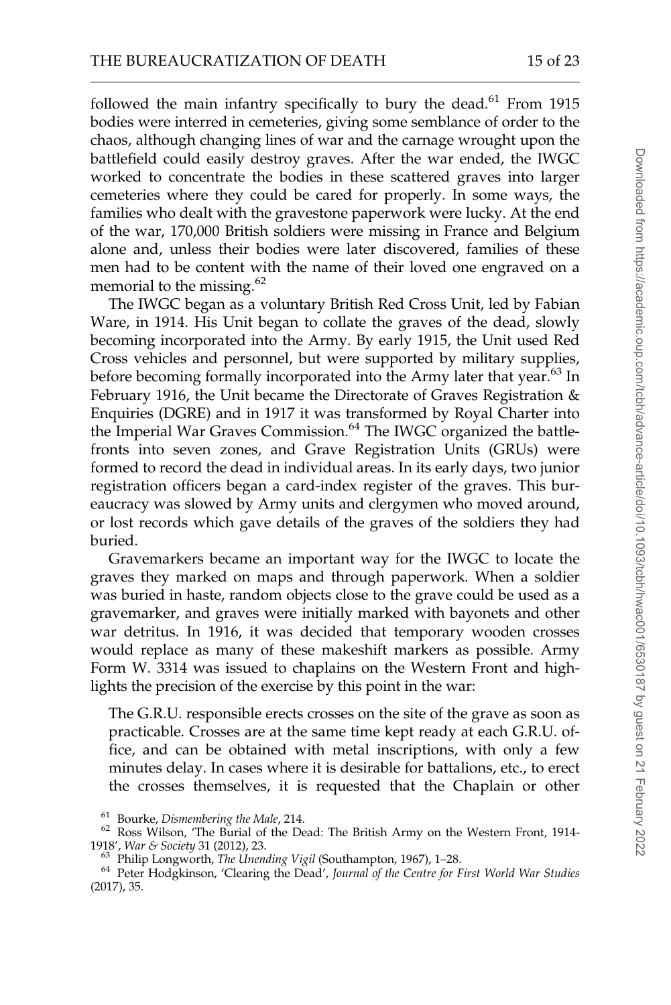followed the main infantry specifically to bury the dead. $61$  From 1915 bodies were interred in cemeteries, giving some semblance of order to the chaos, although changing lines of war and the carnage wrought upon the battlefield could easily destroy graves. After the war ended, the IWGC worked to concentrate the bodies in these scattered graves into larger cemeteries where they could be cared for properly. In some ways, the families who dealt with the gravestone paperwork were lucky. At the end of the war, 170,000 British soldiers were missing in France and Belgium alone and, unless their bodies were later discovered, families of these men had to be content with the name of their loved one engraved on a memorial to the missing.<sup>62</sup>

The IWGC began as a voluntary British Red Cross Unit, led by Fabian Ware, in 1914. His Unit began to collate the graves of the dead, slowly becoming incorporated into the Army. By early 1915, the Unit used Red Cross vehicles and personnel, but were supported by military supplies, before becoming formally incorporated into the Army later that year.<sup>63</sup> In February 1916, the Unit became the Directorate of Graves Registration & Enquiries (DGRE) and in 1917 it was transformed by Royal Charter into the Imperial War Graves Commission.<sup>64</sup> The IWGC organized the battlefronts into seven zones, and Grave Registration Units (GRUs) were formed to record the dead in individual areas. In its early days, two junior registration officers began a card-index register of the graves. This bureaucracy was slowed by Army units and clergymen who moved around, or lost records which gave details of the graves of the soldiers they had buried.

Gravemarkers became an important way for the IWGC to locate the graves they marked on maps and through paperwork. When a soldier was buried in haste, random objects close to the grave could be used as a gravemarker, and graves were initially marked with bayonets and other war detritus. In 1916, it was decided that temporary wooden crosses would replace as many of these makeshift markers as possible. Army Form W. 3314 was issued to chaplains on the Western Front and highlights the precision of the exercise by this point in the war:

The G.R.U. responsible erects crosses on the site of the grave as soon as practicable. Crosses are at the same time kept ready at each G.R.U. office, and can be obtained with metal inscriptions, with only a few minutes delay. In cases where it is desirable for battalions, etc., to erect the crosses themselves, it is requested that the Chaplain or other

<sup>&</sup>lt;sup>61</sup> Bourke, *Dismembering the Male*, 214.<br><sup>62</sup> Ross Wilson, 'The Burial of the Dead: The British Army on the Western Front, 1914-1918', War & Society 31 (2012), 23.<br><sup>63</sup> Philip Longworth, *The Unending Vigil* (Southampton, 1967), 1–28.<br><sup>64</sup> Peter Hodgkinson, 'Clearing the Dead', *Journal of the Centre for First World War Studies* 

<sup>(2017), 35.</sup>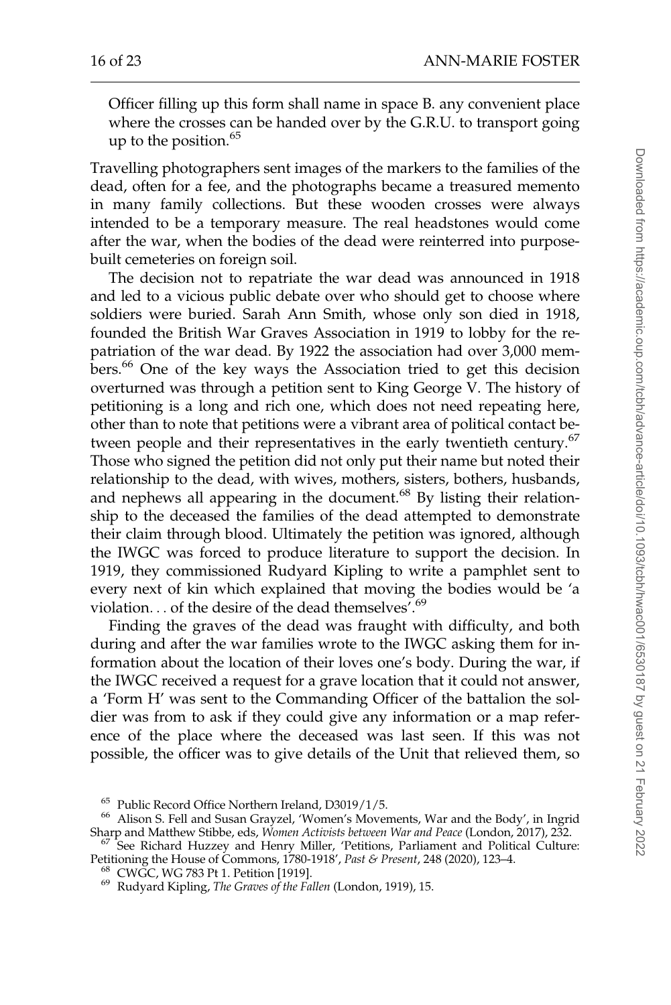Officer filling up this form shall name in space B. any convenient place where the crosses can be handed over by the G.R.U. to transport going up to the position. $65$ 

Travelling photographers sent images of the markers to the families of the dead, often for a fee, and the photographs became a treasured memento in many family collections. But these wooden crosses were always intended to be a temporary measure. The real headstones would come after the war, when the bodies of the dead were reinterred into purposebuilt cemeteries on foreign soil.

The decision not to repatriate the war dead was announced in 1918 and led to a vicious public debate over who should get to choose where soldiers were buried. Sarah Ann Smith, whose only son died in 1918, founded the British War Graves Association in 1919 to lobby for the repatriation of the war dead. By 1922 the association had over 3,000 members.<sup>66</sup> One of the key ways the Association tried to get this decision overturned was through a petition sent to King George V. The history of petitioning is a long and rich one, which does not need repeating here, other than to note that petitions were a vibrant area of political contact between people and their representatives in the early twentieth century.<sup>67</sup> Those who signed the petition did not only put their name but noted their relationship to the dead, with wives, mothers, sisters, bothers, husbands, and nephews all appearing in the document. $^{68}$  By listing their relationship to the deceased the families of the dead attempted to demonstrate their claim through blood. Ultimately the petition was ignored, although the IWGC was forced to produce literature to support the decision. In 1919, they commissioned Rudyard Kipling to write a pamphlet sent to every next of kin which explained that moving the bodies would be 'a violation... of the desire of the dead themselves<sup>'.69</sup>

Finding the graves of the dead was fraught with difficulty, and both during and after the war families wrote to the IWGC asking them for information about the location of their loves one's body. During the war, if the IWGC received a request for a grave location that it could not answer, a 'Form H' was sent to the Commanding Officer of the battalion the soldier was from to ask if they could give any information or a map reference of the place where the deceased was last seen. If this was not possible, the officer was to give details of the Unit that relieved them, so

<sup>&</sup>lt;sup>65</sup> Public Record Office Northern Ireland, D3019/1/5.<br><sup>66</sup> Alison S. Fell and Susan Grayzel, 'Women's Movements, War and the Body', in Ingrid<br>Sharp and Matthew Stibbe, eds, *Women Activists between War and Peace* (London

<sup>&</sup>lt;sup>67</sup> See Richard Huzzey and Henry Miller, 'Petitions, Parliament and Political Culture: Petitioning the House of Commons, 1780-1918', *Past & Present*, 248 (2020), 123–4.

<sup>&</sup>lt;sup>68</sup> CWGC, WG 783 Pt 1. Petition [1919].<br><sup>69</sup> Rudyard Kipling, *The Graves of the Fallen* (London, 1919), 15.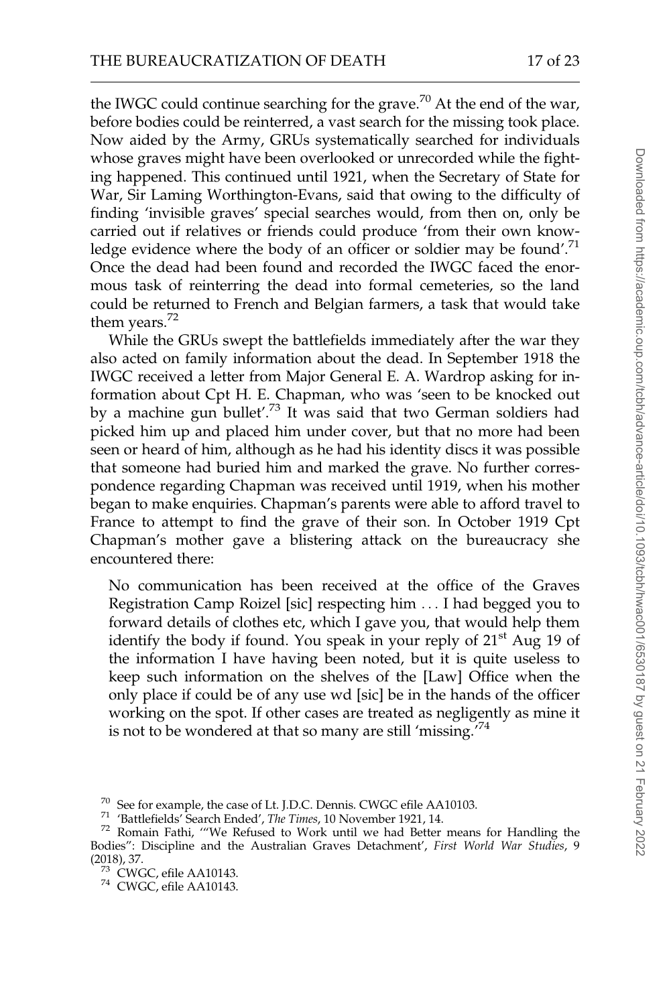the IWGC could continue searching for the grave.<sup>70</sup> At the end of the war, before bodies could be reinterred, a vast search for the missing took place. Now aided by the Army, GRUs systematically searched for individuals whose graves might have been overlooked or unrecorded while the fighting happened. This continued until 1921, when the Secretary of State for War, Sir Laming Worthington-Evans, said that owing to the difficulty of finding 'invisible graves' special searches would, from then on, only be carried out if relatives or friends could produce 'from their own knowledge evidence where the body of an officer or soldier may be found'.<sup>71</sup> Once the dead had been found and recorded the IWGC faced the enormous task of reinterring the dead into formal cemeteries, so the land could be returned to French and Belgian farmers, a task that would take them years. $72$ 

While the GRUs swept the battlefields immediately after the war they also acted on family information about the dead. In September 1918 the IWGC received a letter from Major General E. A. Wardrop asking for information about Cpt H. E. Chapman, who was 'seen to be knocked out by a machine gun bullet'.<sup>73</sup> It was said that two German soldiers had picked him up and placed him under cover, but that no more had been seen or heard of him, although as he had his identity discs it was possible that someone had buried him and marked the grave. No further correspondence regarding Chapman was received until 1919, when his mother began to make enquiries. Chapman's parents were able to afford travel to France to attempt to find the grave of their son. In October 1919 Cpt Chapman's mother gave a blistering attack on the bureaucracy she encountered there:

No communication has been received at the office of the Graves Registration Camp Roizel [sic] respecting him ... I had begged you to forward details of clothes etc, which I gave you, that would help them identify the body if found. You speak in your reply of  $21<sup>st</sup>$  Aug 19 of the information I have having been noted, but it is quite useless to keep such information on the shelves of the [Law] Office when the only place if could be of any use wd [sic] be in the hands of the officer working on the spot. If other cases are treated as negligently as mine it is not to be wondered at that so many are still 'missing.'<sup>74</sup>

<sup>&</sup>lt;sup>70</sup> See for example, the case of Lt. J.D.C. Dennis. CWGC efile AA10103.<br><sup>71</sup> 'Battlefields' Search Ended', *The Times*, 10 November 1921, 14.<br><sup>72</sup> Romain Fathi, '"We Refused to Work until we had Better means for Handling Bodies": Discipline and the Australian Graves Detachment', First World War Studies, 9 (2018), 37.

 $^{73}$  CWGC, efile AA10143.<br> $^{74}$  CWGC, efile AA10143.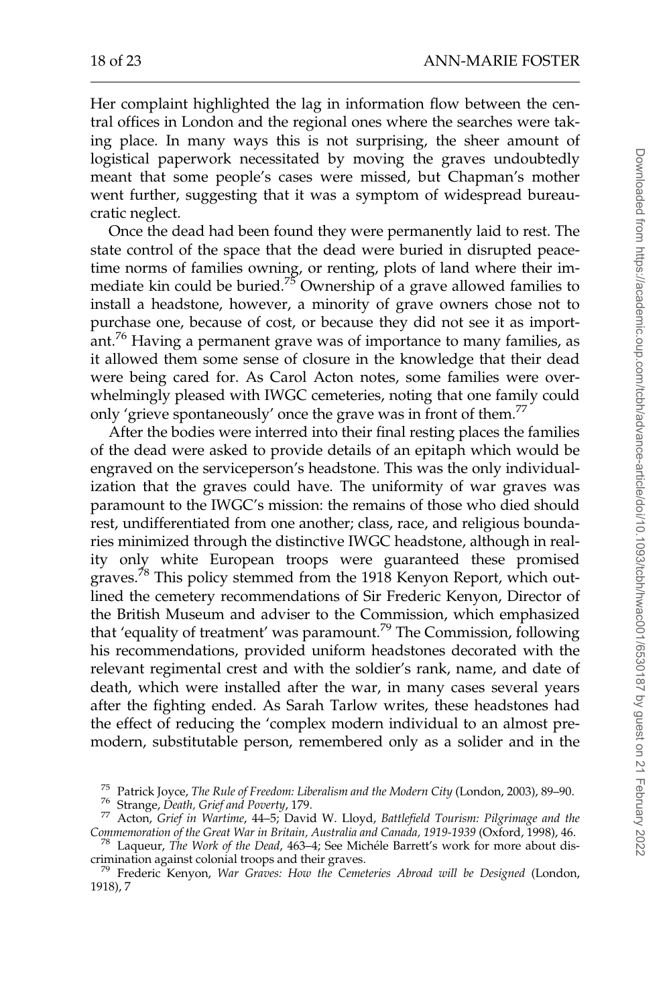Her complaint highlighted the lag in information flow between the central offices in London and the regional ones where the searches were taking place. In many ways this is not surprising, the sheer amount of logistical paperwork necessitated by moving the graves undoubtedly meant that some people's cases were missed, but Chapman's mother went further, suggesting that it was a symptom of widespread bureaucratic neglect.

Once the dead had been found they were permanently laid to rest. The state control of the space that the dead were buried in disrupted peacetime norms of families owning, or renting, plots of land where their immediate kin could be buried.<sup>75</sup> Ownership of a grave allowed families to install a headstone, however, a minority of grave owners chose not to purchase one, because of cost, or because they did not see it as important.<sup>76</sup> Having a permanent grave was of importance to many families, as it allowed them some sense of closure in the knowledge that their dead were being cared for. As Carol Acton notes, some families were overwhelmingly pleased with IWGC cemeteries, noting that one family could only 'grieve spontaneously' once the grave was in front of them.<sup>77</sup>

After the bodies were interred into their final resting places the families of the dead were asked to provide details of an epitaph which would be engraved on the serviceperson's headstone. This was the only individualization that the graves could have. The uniformity of war graves was paramount to the IWGC's mission: the remains of those who died should rest, undifferentiated from one another; class, race, and religious boundaries minimized through the distinctive IWGC headstone, although in reality only white European troops were guaranteed these promised graves.<sup>78</sup> This policy stemmed from the 1918 Kenyon Report, which outlined the cemetery recommendations of Sir Frederic Kenyon, Director of the British Museum and adviser to the Commission, which emphasized that 'equality of treatment' was paramount.<sup>79</sup> The Commission, following his recommendations, provided uniform headstones decorated with the relevant regimental crest and with the soldier's rank, name, and date of death, which were installed after the war, in many cases several years after the fighting ended. As Sarah Tarlow writes, these headstones had the effect of reducing the 'complex modern individual to an almost premodern, substitutable person, remembered only as a solider and in the

<sup>&</sup>lt;sup>75</sup> Patrick Joyce, *The Rule of Freedom: Liberalism and the Modern City* (London, 2003), 89–90.<br><sup>76</sup> Strange, *Death, Grief and Poverty*, 179.<br><sup>77</sup> Acton, *Grief in Wartime*, 44–5; David W. Lloyd, *Battlefield Tourism: P* 

Commemoration of the Great War in Britain, Australia and Canada, 1919-1939 (Oxford, 1998), 46.<br><sup>78</sup> Laqueur, The Work of the Dead, 463–4; See Michéle Barrett's work for more about discrimination against colonial troops and their graves. <sup>79</sup> Frederic Kenyon, War Graves: How the Cemeteries Abroad will be Designed (London,

<sup>1918), 7</sup>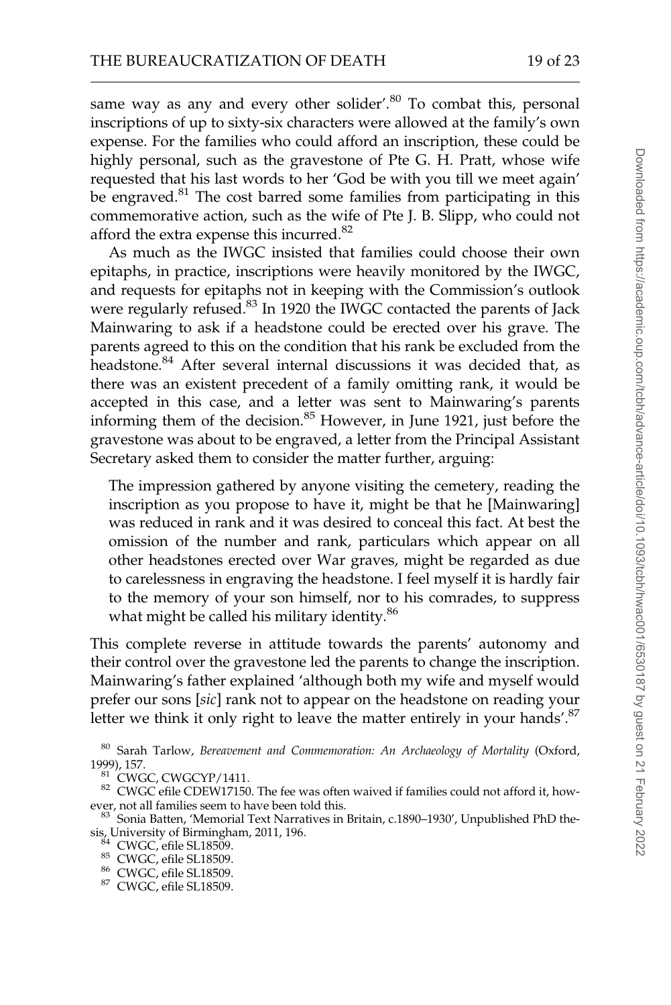same way as any and every other solider'.<sup>80</sup> To combat this, personal inscriptions of up to sixty-six characters were allowed at the family's own expense. For the families who could afford an inscription, these could be highly personal, such as the gravestone of Pte G. H. Pratt, whose wife requested that his last words to her 'God be with you till we meet again' be engraved.<sup>81</sup> The cost barred some families from participating in this commemorative action, such as the wife of Pte J. B. Slipp, who could not afford the extra expense this incurred.<sup>82</sup>

As much as the IWGC insisted that families could choose their own epitaphs, in practice, inscriptions were heavily monitored by the IWGC, and requests for epitaphs not in keeping with the Commission's outlook were regularly refused.<sup>83</sup> In 1920 the IWGC contacted the parents of Jack Mainwaring to ask if a headstone could be erected over his grave. The parents agreed to this on the condition that his rank be excluded from the headstone.<sup>84</sup> After several internal discussions it was decided that, as there was an existent precedent of a family omitting rank, it would be accepted in this case, and a letter was sent to Mainwaring's parents informing them of the decision.<sup>85</sup> However, in June 1921, just before the gravestone was about to be engraved, a letter from the Principal Assistant Secretary asked them to consider the matter further, arguing:

The impression gathered by anyone visiting the cemetery, reading the inscription as you propose to have it, might be that he [Mainwaring] was reduced in rank and it was desired to conceal this fact. At best the omission of the number and rank, particulars which appear on all other headstones erected over War graves, might be regarded as due to carelessness in engraving the headstone. I feel myself it is hardly fair to the memory of your son himself, nor to his comrades, to suppress what might be called his military identity.<sup>86</sup>

This complete reverse in attitude towards the parents' autonomy and their control over the gravestone led the parents to change the inscription. Mainwaring's father explained 'although both my wife and myself would prefer our sons [sic] rank not to appear on the headstone on reading your letter we think it only right to leave the matter entirely in your hands'.<sup>87</sup>

 $^{80}$  Sarah Tarlow, Bereavement and Commemoration: An Archaeology of Mortality (Oxford, 1999), 157.

<sup>&</sup>lt;sup>81</sup> CWGC, CWGCYP/1411.<br><sup>82</sup> CWGC efile CDEW17150. The fee was often waived if families could not afford it, however, not all families seem to have been told this.<br><sup>83</sup> Sonia Batten, 'Memorial Text Narratives in Britain, c.1890–1930', Unpublished PhD the-

sis, University of Birmingham, 2011, 196.<br><sup>84</sup> CWGC, efile SL18509.<br><sup>85</sup> CWGC, efile SL18509.<br><sup>86</sup> CWGC, efile SL18509.<br><sup>87</sup> CWGC, efile SL18509.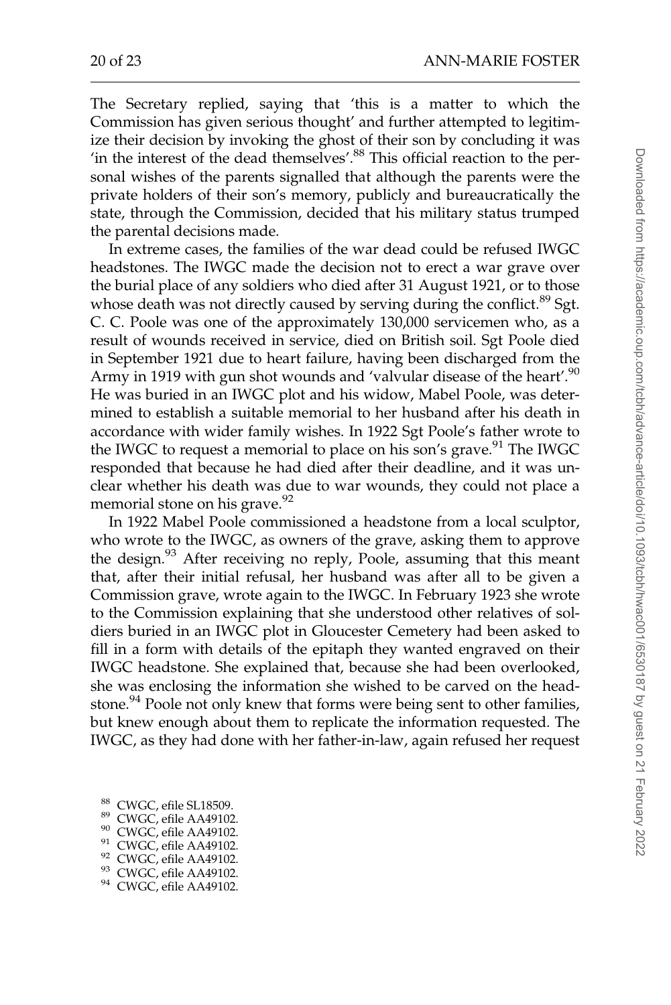The Secretary replied, saying that 'this is a matter to which the Commission has given serious thought' and further attempted to legitimize their decision by invoking the ghost of their son by concluding it was 'in the interest of the dead themselves'.<sup>88</sup> This official reaction to the personal wishes of the parents signalled that although the parents were the private holders of their son's memory, publicly and bureaucratically the state, through the Commission, decided that his military status trumped the parental decisions made.

In extreme cases, the families of the war dead could be refused IWGC headstones. The IWGC made the decision not to erect a war grave over the burial place of any soldiers who died after 31 August 1921, or to those whose death was not directly caused by serving during the conflict.<sup>89</sup> Sgt. C. C. Poole was one of the approximately 130,000 servicemen who, as a result of wounds received in service, died on British soil. Sgt Poole died in September 1921 due to heart failure, having been discharged from the Army in 1919 with gun shot wounds and 'valvular disease of the heart'.<sup>90</sup> He was buried in an IWGC plot and his widow, Mabel Poole, was determined to establish a suitable memorial to her husband after his death in accordance with wider family wishes. In 1922 Sgt Poole's father wrote to the IWGC to request a memorial to place on his son's grave.<sup>91</sup> The IWGC responded that because he had died after their deadline, and it was unclear whether his death was due to war wounds, they could not place a memorial stone on his grave.<sup>92</sup>

In 1922 Mabel Poole commissioned a headstone from a local sculptor, who wrote to the IWGC, as owners of the grave, asking them to approve the design.<sup>93</sup> After receiving no reply, Poole, assuming that this meant that, after their initial refusal, her husband was after all to be given a Commission grave, wrote again to the IWGC. In February 1923 she wrote to the Commission explaining that she understood other relatives of soldiers buried in an IWGC plot in Gloucester Cemetery had been asked to fill in a form with details of the epitaph they wanted engraved on their IWGC headstone. She explained that, because she had been overlooked, she was enclosing the information she wished to be carved on the headstone.<sup>94</sup> Poole not only knew that forms were being sent to other families, but knew enough about them to replicate the information requested. The IWGC, as they had done with her father-in-law, again refused her request

- 
- 
- 
- <sup>88</sup> CWGC, efile SL18509.<br><sup>89</sup> CWGC, efile AA49102.<br><sup>91</sup> CWGC, efile AA49102.<br><sup>91</sup> CWGC, efile AA49102.<br><sup>92</sup> CWGC, efile AA49102.<br><sup>94</sup> CWGC, efile AA49102.
- 
- 
-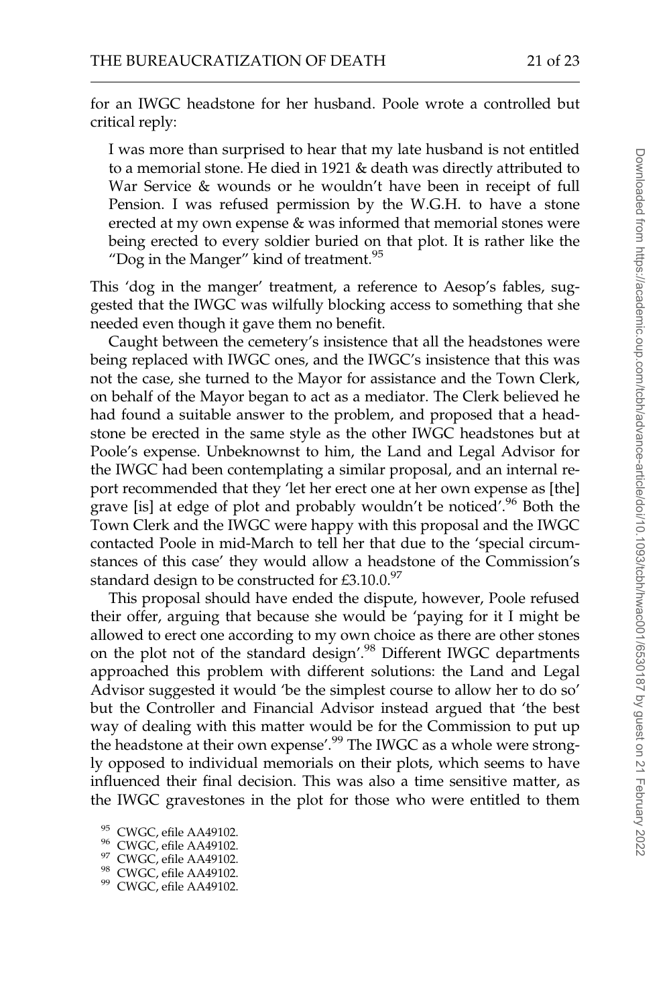for an IWGC headstone for her husband. Poole wrote a controlled but critical reply:

I was more than surprised to hear that my late husband is not entitled to a memorial stone. He died in 1921 & death was directly attributed to War Service & wounds or he wouldn't have been in receipt of full Pension. I was refused permission by the W.G.H. to have a stone erected at my own expense & was informed that memorial stones were being erected to every soldier buried on that plot. It is rather like the "Dog in the Manger" kind of treatment. $95$ 

This 'dog in the manger' treatment, a reference to Aesop's fables, suggested that the IWGC was wilfully blocking access to something that she needed even though it gave them no benefit.

Caught between the cemetery's insistence that all the headstones were being replaced with IWGC ones, and the IWGC's insistence that this was not the case, she turned to the Mayor for assistance and the Town Clerk, on behalf of the Mayor began to act as a mediator. The Clerk believed he had found a suitable answer to the problem, and proposed that a headstone be erected in the same style as the other IWGC headstones but at Poole's expense. Unbeknownst to him, the Land and Legal Advisor for the IWGC had been contemplating a similar proposal, and an internal report recommended that they 'let her erect one at her own expense as [the] grave [is] at edge of plot and probably wouldn't be noticed'.<sup>96</sup> Both the Town Clerk and the IWGC were happy with this proposal and the IWGC contacted Poole in mid-March to tell her that due to the 'special circumstances of this case' they would allow a headstone of the Commission's standard design to be constructed for  $£3.10.0.^{97}$ 

This proposal should have ended the dispute, however, Poole refused their offer, arguing that because she would be 'paying for it I might be allowed to erect one according to my own choice as there are other stones on the plot not of the standard design'.<sup>98</sup> Different IWGC departments approached this problem with different solutions: the Land and Legal Advisor suggested it would 'be the simplest course to allow her to do so' but the Controller and Financial Advisor instead argued that 'the best way of dealing with this matter would be for the Commission to put up the headstone at their own expense'.<sup>99</sup> The IWGC as a whole were strongly opposed to individual memorials on their plots, which seems to have influenced their final decision. This was also a time sensitive matter, as the IWGC gravestones in the plot for those who were entitled to them

<sup>&</sup>lt;sup>95</sup> CWGC, efile AA49102.<br><sup>96</sup> CWGC, efile AA49102.<br><sup>97</sup> CWGC, efile AA49102.<br><sup>98</sup> CWGC, efile AA49102.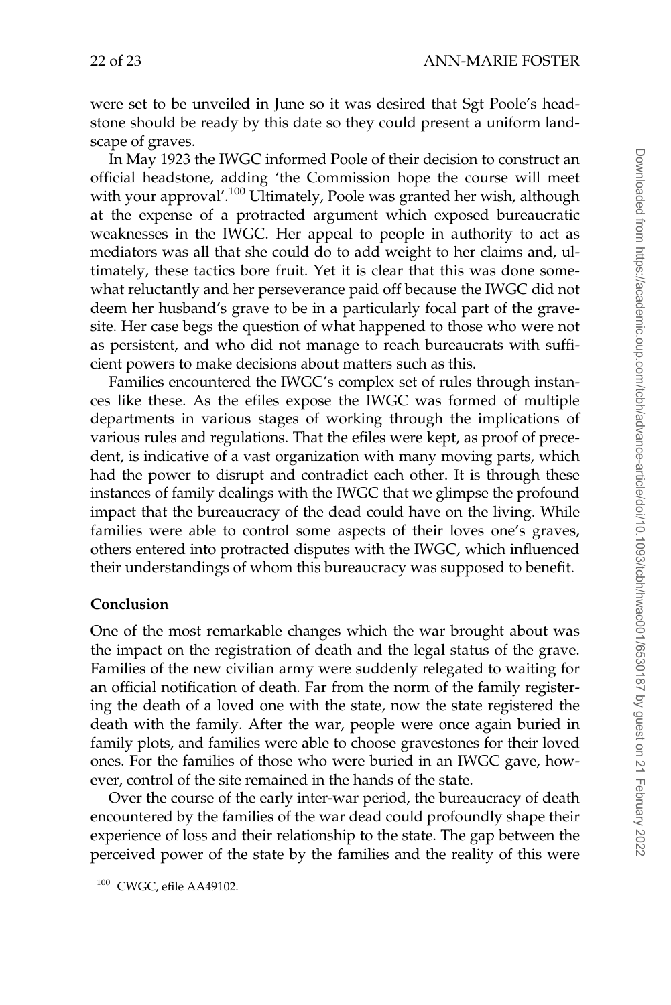were set to be unveiled in June so it was desired that Sgt Poole's headstone should be ready by this date so they could present a uniform landscape of graves.

In May 1923 the IWGC informed Poole of their decision to construct an official headstone, adding 'the Commission hope the course will meet with your approval'.<sup>100</sup> Ultimately, Poole was granted her wish, although at the expense of a protracted argument which exposed bureaucratic weaknesses in the IWGC. Her appeal to people in authority to act as mediators was all that she could do to add weight to her claims and, ultimately, these tactics bore fruit. Yet it is clear that this was done somewhat reluctantly and her perseverance paid off because the IWGC did not deem her husband's grave to be in a particularly focal part of the gravesite. Her case begs the question of what happened to those who were not as persistent, and who did not manage to reach bureaucrats with sufficient powers to make decisions about matters such as this.

Families encountered the IWGC's complex set of rules through instances like these. As the efiles expose the IWGC was formed of multiple departments in various stages of working through the implications of various rules and regulations. That the efiles were kept, as proof of precedent, is indicative of a vast organization with many moving parts, which had the power to disrupt and contradict each other. It is through these instances of family dealings with the IWGC that we glimpse the profound impact that the bureaucracy of the dead could have on the living. While families were able to control some aspects of their loves one's graves, others entered into protracted disputes with the IWGC, which influenced their understandings of whom this bureaucracy was supposed to benefit.

## Conclusion

One of the most remarkable changes which the war brought about was the impact on the registration of death and the legal status of the grave. Families of the new civilian army were suddenly relegated to waiting for an official notification of death. Far from the norm of the family registering the death of a loved one with the state, now the state registered the death with the family. After the war, people were once again buried in family plots, and families were able to choose gravestones for their loved ones. For the families of those who were buried in an IWGC gave, however, control of the site remained in the hands of the state.

Over the course of the early inter-war period, the bureaucracy of death encountered by the families of the war dead could profoundly shape their experience of loss and their relationship to the state. The gap between the perceived power of the state by the families and the reality of this were

<sup>100</sup> CWGC, efile AA49102.